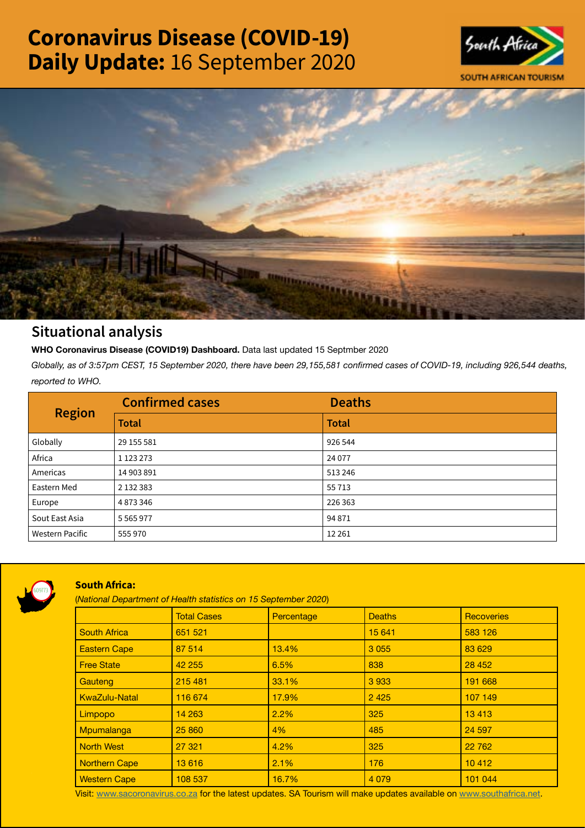# Coronavirus Disease (COVID-19) Daily Update: 16 September 2020





## Situational analysis

**WHO Coronavirus Disease (COVID19) Dashboard.** Data last updated 15 Septmber 2020

*Globally, as of 3:57pm CEST, 15 September 2020, there have been 29,155,581 confirmed cases of COVID-19, including 926,544 deaths, reported to WHO.*

| <b>Region</b>          | <b>Confirmed cases</b> | <b>Deaths</b> |
|------------------------|------------------------|---------------|
|                        | <b>Total</b>           | <b>Total</b>  |
| Globally               | 29 155 581             | 926 544       |
| Africa                 | 1 1 2 3 2 7 3          | 24 0 77       |
| Americas               | 14 903 891             | 513246        |
| Eastern Med            | 2 132 383              | 55 7 13       |
| Europe                 | 4873346                | 226 363       |
| Sout East Asia         | 5 5 6 5 9 7 7          | 94 871        |
| <b>Western Pacific</b> | 555970                 | 12 2 6 1      |



### South Africa:

(*National Department of Health statistics on 15 September 2020*)

|                      | <b>Total Cases</b> | Percentage | <b>Deaths</b> | Recoveries |
|----------------------|--------------------|------------|---------------|------------|
| <b>South Africa</b>  | 651 521            |            | 15 641        | 583 126    |
| <b>Eastern Cape</b>  | 87 514             | 13.4%      | 3 0 5 5       | 83 629     |
| <b>Free State</b>    | 42 255             | 6.5%       | 838           | 28 452     |
| Gauteng              | 215 481            | 33.1%      | 3933          | 191 668    |
| <b>KwaZulu-Natal</b> | 116 674            | 17.9%      | 2 4 2 5       | 107 149    |
| Limpopo              | 14 263             | 2.2%       | 325           | 13 4 13    |
| Mpumalanga           | 25 860             | 4%         | 485           | 24 597     |
| <b>North West</b>    | 27 321             | 4.2%       | 325           | 22 762     |
| <b>Northern Cape</b> | 13 616             | 2.1%       | 176           | 10 4 12    |
| <b>Western Cape</b>  | 108 537            | 16.7%      | 4 0 7 9       | 101 044    |

Visit: [www.sacoronavirus.co.za](http://www.sacoronavirus.co.za) for the latest updates. SA Tourism will make updates available on [www.southafrica.net.](http://www.southafrica.net)